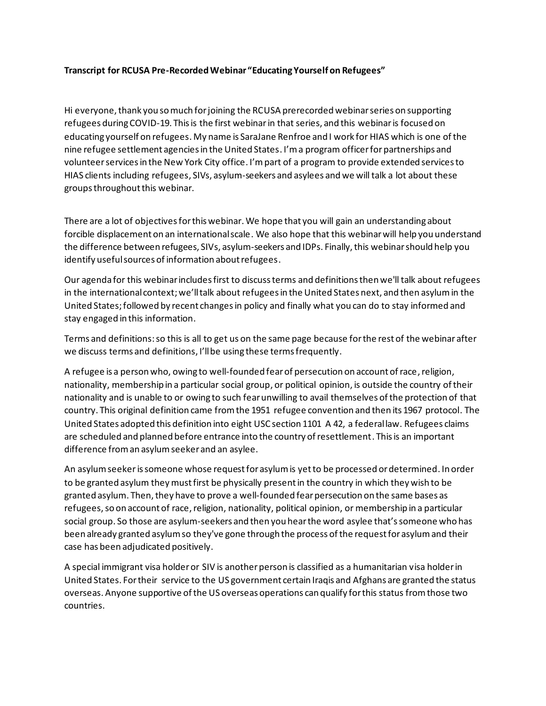## **Transcript for RCUSA Pre-Recorded Webinar "Educating Yourself on Refugees"**

Hi everyone, thank you so much for joining the RCUSA prerecorded webinar series on supporting refugees during COVID-19. This is the first webinarin that series, and this webinar is focused on educating yourself on refugees. My name is SaraJane Renfroe and I work for HIAS which is one of the nine refugee settlement agencies in the United States. I'm a program officer for partnerships and volunteer services in the New York City office. I'm part of a program to provide extended services to HIAS clients including refugees, SIVs, asylum-seekers and asylees and we will talk a lot about these groups throughout this webinar.

There are a lot of objectives for this webinar.We hope that you will gain an understanding about forcible displacement on an international scale. We also hope that this webinar will help you understand the difference between refugees, SIVs, asylum-seekers and IDPs. Finally,this webinar should help you identify useful sources of information about refugees.

Our agenda for this webinar includes first to discuss terms and definitions then we'll talk about refugees in the international context;we'll talk about refugees in the United States next, and then asylum in the United States;followed by recent changes in policy and finally what you can do to stay informed and stay engaged in this information.

Terms and definitions:so this is all to get us on the same page because for the rest of the webinar after we discuss terms and definitions, I'll be using these terms frequently.

A refugee is a person who, owing to well-founded fear of persecution on account of race, religion, nationality, membership in a particular social group, or political opinion, is outside the country of their nationality and is unable to or owing to such fear unwilling to avail themselves of the protection of that country. This original definition came from the 1951 refugee convention and then its 1967 protocol. The United States adopted this definition into eight USC section 1101 A 42, a federal law. Refugees claims are scheduled and planned before entrance into the country of resettlement. This is an important difference from an asylum seeker and an asylee.

An asylum seekeris someone whose request for asylum is yetto be processed or determined. In order to be granted asylum they must first be physically present in the country in which they wish to be granted asylum. Then, they have to prove a well-founded fear persecution on the same bases as refugees, so on account of race, religion, nationality, political opinion, or membership in a particular social group. So those are asylum-seekers and then you hear the word asylee that'ssomeone who has been already granted asylum so they've gone through the process of the request for asylum and their case has been adjudicated positively.

A special immigrant visa holder or SIV is another person is classified as a humanitarian visa holder in United States. For their service to the US government certain Iraqis and Afghans are granted the status overseas. Anyone supportive of the US overseas operations can qualify for this status from those two countries.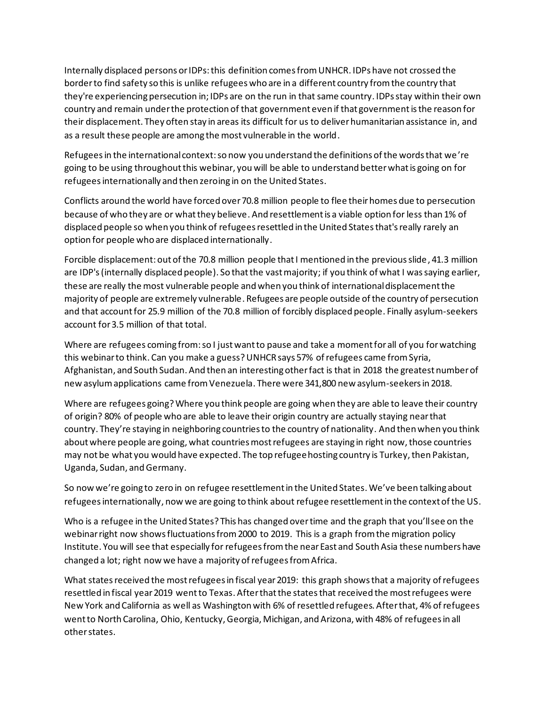Internally displaced persons or IDPs:this definition comes from UNHCR. IDPs have not crossed the border to find safety so this is unlike refugees who are in a different country from the country that they're experiencing persecution in;IDPs are on the run in that same country. IDPsstay within their own country and remain under the protection of that government even if that governmentis the reason for their displacement. They often stay in areas its difficult for us to deliver humanitarian assistance in, and as a result these people are among the most vulnerable in the world.

Refugees in the international context: so now you understand the definitions of the words that we're going to be using throughout this webinar, you will be able to understand better what is going on for refugees internationally and then zeroing in on the United States.

Conflicts around the world have forced over 70.8 million people to flee their homes due to persecution because of who they are or what they believe. And resettlement is a viable option for less than 1% of displaced people so when you think of refugees resettled in the United States that's really rarely an option for people who are displaced internationally.

Forcible displacement: out of the 70.8 million people that I mentioned in the previous slide, 41.3 million are IDP's (internally displaced people). So that the vast majority; if you think of what I was saying earlier, these are really the most vulnerable people and when you think of international displacement the majority of people are extremely vulnerable. Refugees are people outside of the country of persecution and that account for 25.9 million of the 70.8 million of forcibly displaced people. Finally asylum-seekers account for 3.5 million of that total.

Where are refugees coming from: so I just want to pause and take a moment for all of you for watching this webinar to think. Can you make a guess? UNHCR says 57% of refugees came from Syria, Afghanistan, and South Sudan. And then an interesting other fact is that in 2018 the greatest number of new asylum applications came from Venezuela. There were 341,800 new asylum-seekers in 2018.

Where are refugees going?Where you think people are going when they are able to leave their country of origin? 80% of people who are able to leave their origin country are actually staying near that country. They're staying in neighboring countries to the country of nationality. And then when you think about where people are going, what countries most refugees are staying in right now, those countries may not be what you would have expected. The top refugee hosting country is Turkey, then Pakistan, Uganda, Sudan, and Germany.

So now we're going to zero in on refugee resettlement in the United States.We've been talking about refugees internationally, now we are going to think about refugee resettlement in the context of the US.

Who is a refugee in the United States? This has changed over time and the graph that you'll see on the webinar right now shows fluctuations from 2000 to 2019. This is a graph from the migration policy Institute. You will see that especially for refugees from the near East and South Asia these numbers have changed a lot; right now we have a majority of refugees from Africa.

What states received the most refugees in fiscal year 2019: this graph shows that a majority of refugees resettled in fiscal year 2019 went to Texas. After that the states that received the most refugees were New York and California as well as Washington with 6% of resettled refugees. After that, 4% of refugees went to North Carolina, Ohio, Kentucky, Georgia, Michigan, and Arizona, with 48% of refugees in all other states.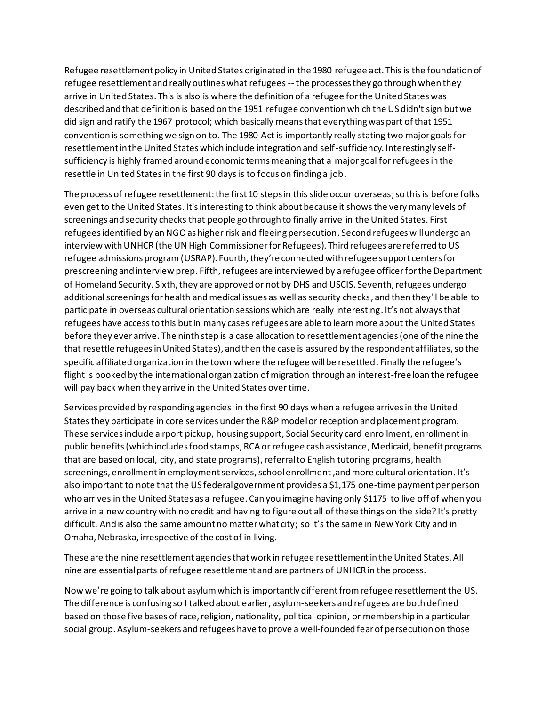Refugee resettlement policy in United States originated in the 1980 refugee act. This is the foundation of refugee resettlement and really outlines what refugees -- the processes they go through when they arrive in United States. This is also is where the definition of a refugee for the United States was described and that definition is based on the 1951 refugee convention which the US didn't sign but we did sign and ratify the 1967 protocol; which basically means that everything was part of that 1951 convention is something we sign on to. The 1980 Act is importantly really stating two major goals for resettlement in the United States which include integration and self-sufficiency. Interestingly selfsufficiency is highly framed around economic terms meaning that a major goal for refugees in the resettle in United States in the first 90 days is to focus on finding a job.

The process of refugee resettlement: the first 10 steps in this slide occur overseas; so this is before folks even get to the United States. It's interesting to think about because it shows the very many levels of screenings and security checks that people go through to finally arrive in the United States. First refugees identified by an NGO as higher risk and fleeing persecution. Second refugees will undergo an interview with UNHCR (the UN High Commissioner for Refugees). Third refugees are referred to US refugee admissions program (USRAP). Fourth, they're connected with refugee support centers for prescreening and interview prep. Fifth, refugees are interviewed by a refugee officer for the Department of Homeland Security. Sixth, they are approved or not by DHS and USCIS. Seventh,refugees undergo additional screenings for health and medical issues as well as security checks, and then they'll be able to participate in overseas cultural orientation sessions which are really interesting. It's not always that refugees have access to this but in many cases refugees are able to learn more about the United States before they ever arrive. The ninth step is a case allocation to resettlement agencies(one of the nine the that resettle refugees in United States), and then the case is assured by the respondent affiliates, so the specific affiliated organization in the town where the refugee will be resettled. Finally the refugee's flight is booked by the international organization of migration through an interest-free loan the refugee will pay back when they arrive in the United States over time.

Services provided by responding agencies: in the first 90 days when a refugee arrives in the United States they participate in core services under the R&P model or reception and placement program. These services include airport pickup, housing support, Social Security card enrollment, enrollment in public benefits (which includes food stamps, RCA or refugee cash assistance, Medicaid, benefit programs that are based on local, city, and state programs), referral to English tutoring programs, health screenings, enrollment in employment services, school enrollment, and more cultural orientation. It's also important to note that the US federal government provides a \$1,175 one-time payment per person who arrives in the United States as a refugee. Can you imagine having only \$1175 to live off of when you arrive in a new country with no credit and having to figure out all of these things on the side? It's pretty difficult. And is also the same amount no matter what city; so it's the same in New York City and in Omaha, Nebraska, irrespective of the cost of in living.

These are the nine resettlement agencies that work in refugee resettlement in the United States. All nine are essential parts of refugee resettlement and are partners of UNHCR in the process.

Now we're going to talk about asylum which is importantly different from refugee resettlement the US. The difference is confusing so I talked about earlier, asylum-seekers and refugees are both defined based on those five bases of race, religion, nationality, political opinion, or membership in a particular social group. Asylum-seekers and refugees have to prove a well-founded fear of persecution on those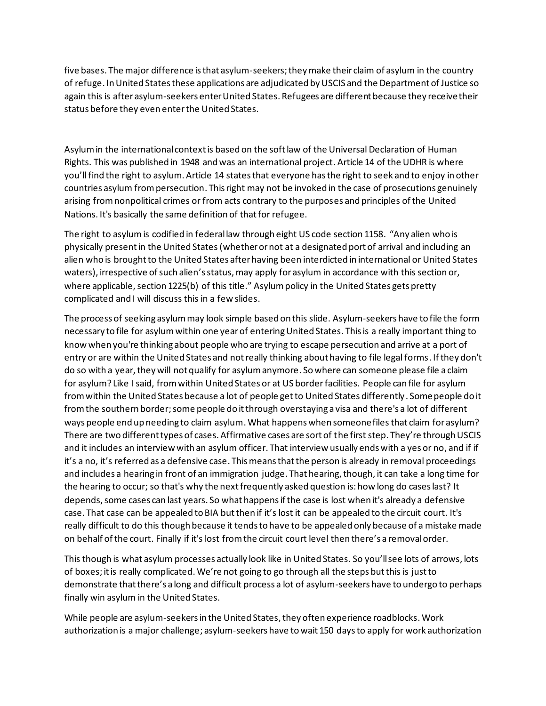five bases. The major difference is that asylum-seekers;they make their claim of asylum in the country of refuge. In United States these applications are adjudicated by USCIS and the Department of Justice so again this is after asylum-seekers enter United States. Refugees are different because they receive their status before they even enter the United States.

Asylum in the international context is based on the soft law of the Universal Declaration of Human Rights. This was published in 1948 and was an international project. Article 14 of the UDHR is where you'll find the right to asylum. Article 14 states that everyone has the right to seek and to enjoy in other countries asylum from persecution. This right may not be invoked in the case of prosecutions genuinely arising from nonpolitical crimes or from acts contrary to the purposes and principles of the United Nations. It's basically the same definition of that for refugee.

The right to asylumis codified in federal law through eight US code section 1158. "Any alien who is physically present in the United States(whether or not at a designated port of arrival and including an alien who is brought to the United States after having been interdicted in international or United States waters), irrespective of such alien's status, may apply for asylum in accordance with this section or, where applicable, section 1225(b) of this title." Asylum policy in the United States gets pretty complicated and I will discuss this in a few slides.

The process of seeking asylum may look simple based on this slide. Asylum-seekers have to file the form necessary to file for asylumwithin one year of entering United States. This is a really important thing to know when you're thinking about people who are trying to escape persecution and arrive at a port of entry or are within the United States and not really thinking about having to file legal forms. Ifthey don't do so with a year, they will not qualify for asylum anymore. So where can someone please file a claim for asylum? Like I said, from within United States or at US borderfacilities. People can file for asylum from within the United States because a lot of people get to United States differently. Some people do it from the southern border;some people do it through overstaying a visa and there's a lot of different ways people end up needing to claim asylum.What happens when someone files that claim for asylum? There are two different types of cases. Affirmative cases are sort of the first step. They're through USCIS and it includes an interview with an asylum officer. That interview usually ends with a yes or no, and if if it's a no, it's referred as a defensive case. This means that the person is already in removal proceedings and includes a hearing in front of an immigration judge. That hearing, though, it can take a long time for the hearing to occur; so that's why the next frequently asked question is: how long do cases last? It depends, some cases can last years. So what happens if the case is lost when it's already a defensive case. That case can be appealed to BIA but then if it's lost it can be appealed to the circuit court. It's really difficult to do this though because it tends to have to be appealed only because of a mistake made on behalf of the court. Finally if it's lost from the circuit court level then there's a removal order.

This though is what asylum processes actually look like in United States. So you'll see lots of arrows, lots of boxes; it is really complicated. We're not going to go through all the steps but this is just to demonstrate that there's a long and difficult process a lot of asylum-seekers have to undergo to perhaps finally win asylum in the United States.

While people are asylum-seekers in the United States, they often experience roadblocks. Work authorization is a major challenge; asylum-seekers have to wait 150 days to apply for work authorization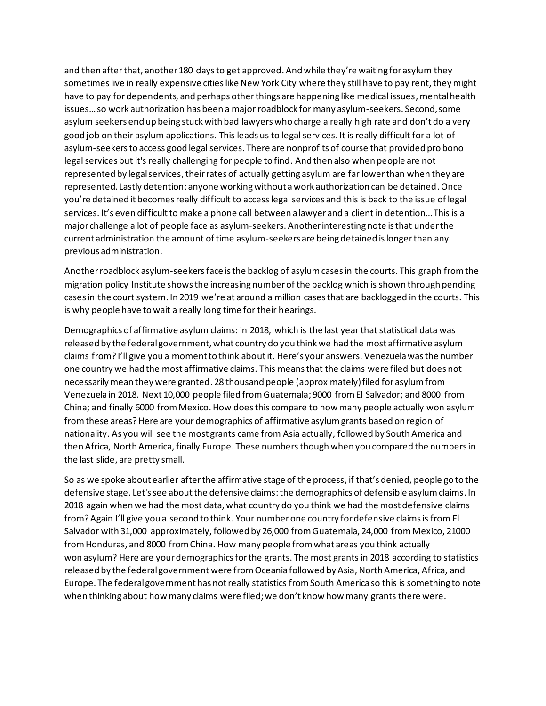and then after that, another 180 days to get approved. And while they're waiting for asylum they sometimes live in really expensive cities like New York City where they still have to pay rent, they might have to pay for dependents, and perhaps other things are happening like medical issues, mental health issues…so work authorization has been a major roadblock for many asylum-seekers. Second, some asylum seekers end up being stuck with bad lawyers who charge a really high rate and don't do a very good job on their asylum applications. This leads us to legal services. It is really difficult for a lot of asylum-seekers to access good legal services. There are nonprofits of course that provided pro bono legal services but it's really challenging for people to find. And then also when people are not represented by legal services, theirrates of actually getting asylum are far lower than when they are represented. Lastly detention: anyone working without a work authorization can be detained. Once you're detained it becomes really difficult to access legal services and this is back to the issue of legal services. It's even difficult to make a phone call between a lawyer and a client in detention… This is a major challenge a lot of people face as asylum-seekers. Another interesting note is that under the current administration the amount of time asylum-seekers are being detained is longer than any previous administration.

Another roadblock asylum-seekers face is the backlog of asylumcases in the courts. This graph from the migration policy Institute shows the increasing number of the backlog which is shown through pending cases in the court system. In 2019 we're at around a million cases that are backlogged in the courts. This is why people have to wait a really long time for their hearings.

Demographics of affirmative asylum claims: in 2018, which is the last year that statistical data was released by the federal government, what country do you think we had the most affirmative asylum claims from? I'll give you a moment to think about it. Here's your answers. Venezuela was the number one country we had the most affirmative claims. This means that the claims were filed but does not necessarily mean they were granted. 28 thousand people (approximately)filed for asylum from Venezuela in 2018. Next 10,000 people filed from Guatemala; 9000 from El Salvador; and 8000 from China; and finally 6000 from Mexico. How does this compare to how many people actually won asylum from these areas? Here are your demographics of affirmative asylum grants based on region of nationality. As you will see the most grants came from Asia actually, followed by South America and then Africa, North America, finally Europe. These numbers though when you compared the numbers in the last slide, are pretty small.

So as we spoke about earlier after the affirmative stage of the process, if that's denied, people go to the defensive stage. Let's see about the defensive claims: the demographics of defensible asylum claims. In 2018 again when we had the most data, what country do you think we had the most defensive claims from?Again I'll give you a second to think. Your number one country for defensive claims is from El Salvador with 31,000 approximately, followed by 26,000 from Guatemala, 24,000 from Mexico, 21000 from Honduras, and 8000 from China. How many people from what areas you think actually won asylum? Here are your demographics for the grants. The most grants in 2018 according to statistics released by the federal government were from Oceania followed by Asia, North America, Africa, and Europe. The federal government has not really statistics from South America so this is something to note when thinking about how many claims were filed; we don't know how many grants there were.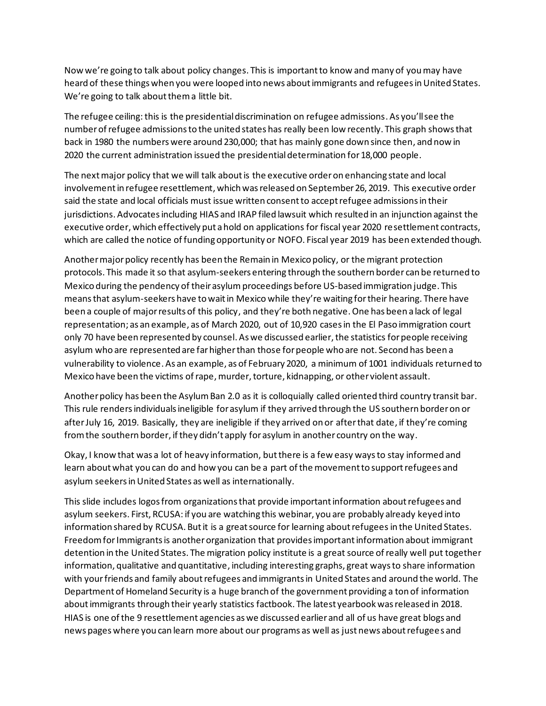Now we're going to talk about policy changes. This is important to know and many of you may have heard of these things when you were looped into news about immigrants and refugees in United States. We're going to talk about them a little bit.

The refugee ceiling: this is the presidential discrimination on refugee admissions. As you'll see the number of refugee admissions to the united states has really been low recently. This graph shows that back in 1980 the numbers were around 230,000; that has mainly gone down since then, and now in 2020 the current administration issued the presidential determination for 18,000 people.

The next major policy that we will talk about is the executive order on enhancing state and local involvement in refugee resettlement, which was released on September 26, 2019. This executive order said the state and local officials must issue written consent to accept refugee admissions in their jurisdictions. Advocates including HIAS and IRAP filed lawsuit which resulted in an injunction against the executive order, which effectively put a hold on applications for fiscal year 2020 resettlement contracts, which are called the notice of funding opportunity or NOFO. Fiscal year 2019 has been extended though.

Another major policy recently has been the Remain in Mexico policy, or the migrant protection protocols. This made it so that asylum-seekers entering through the southern border can be returned to Mexico during the pendency of their asylumproceedings before US-based immigration judge. This means that asylum-seekers have to wait in Mexico while they're waiting for their hearing. There have been a couple of major results of this policy, and they're both negative. One has been a lack of legal representation; as an example, as of March 2020, out of 10,920 cases in the El Paso immigration court only 70 have been represented by counsel. As we discussed earlier, the statistics for people receiving asylum who are represented are far higher than those for people who are not. Second has been a vulnerability to violence. As an example, as of February 2020, a minimum of 1001 individuals returned to Mexico have been the victims of rape, murder, torture, kidnapping, or other violent assault.

Another policy has been the Asylum Ban 2.0 as it is colloquially called oriented third country transit bar. This rule renders individuals ineligible for asylum if they arrived through the US southern border on or after July 16, 2019. Basically, they are ineligible if they arrived on or after that date, if they're coming from the southern border, if they didn't apply for asylum in another country on the way.

Okay, I know that was a lot of heavy information, but there is a few easy ways to stay informed and learn about what you can do and how you can be a part of the movement to support refugees and asylum seekers in United States as well as internationally.

This slide includes logos from organizations that provide important information about refugees and asylum seekers. First, RCUSA: if you are watching this webinar, you are probably already keyed into information shared by RCUSA. But it is a great source for learning about refugees in the United States. Freedom for Immigrants is another organization that provides important information about immigrant detention in the United States. The migration policy institute is a great source of really well put together information, qualitative and quantitative, including interesting graphs, great ways to share information with your friends and family about refugees and immigrants in United States and around the world. The Department of Homeland Security is a huge branch of the government providing a ton of information about immigrants through their yearly statistics factbook. The latest yearbook was released in 2018. HIAS is one of the 9 resettlement agencies as we discussed earlier and all of us have great blogs and news pages where you can learn more about our programs as well as just news about refugees and